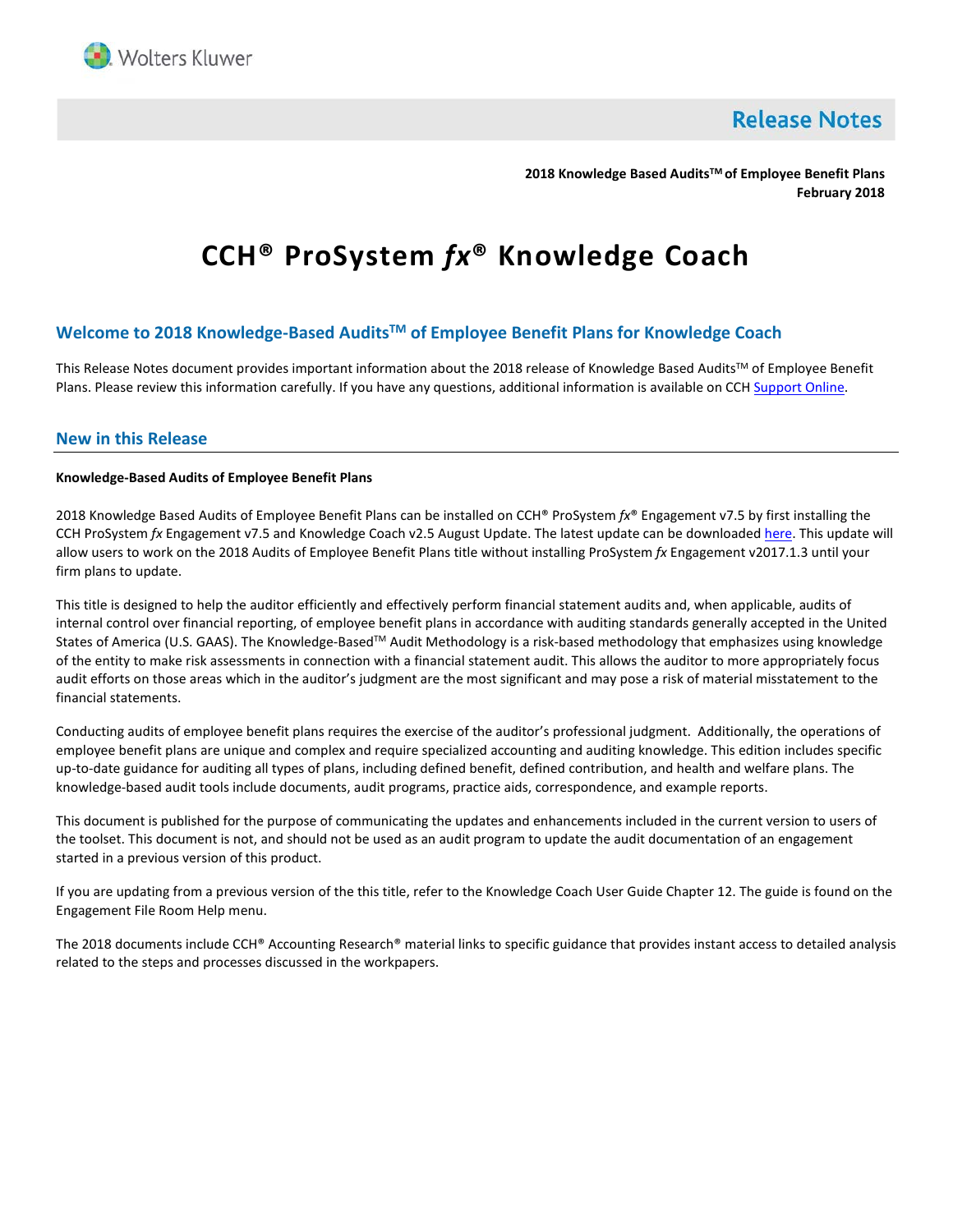

**Release Notes** 

**2018 Knowledge Based AuditsTM of Employee Benefit Plans February 2018**

# **CCH® ProSystem** *fx***® Knowledge Coach**

# **Welcome to 2018 Knowledge-Based AuditsTM of Employee Benefit Plans for Knowledge Coach**

This Release Notes document provides important information about the 2018 release of Knowledge Based Audits™ of Employee Benefit Plans. Please review this information carefully. If you have any questions, additional information is available on CC[H Support Online.](http://support.cch.com/productsupport/)

## **New in this Release**

#### **Knowledge-Based Audits of Employee Benefit Plans**

2018 Knowledge Based Audits of Employee Benefit Plans can be installed on CCH® ProSystem *fx*® Engagement v7.5 by first installing the CCH ProSystem *fx* Engagement v7.5 and Knowledge Coach v2.5 August Update. The latest update can be downloade[d here.](https://support.cch.com/updates/Engagement/patch75/patch75.aspx) This update will allow users to work on the 2018 Audits of Employee Benefit Plans title without installing ProSystem *fx* Engagement v2017.1.3 until your firm plans to update.

This title is designed to help the auditor efficiently and effectively perform financial statement audits and, when applicable, audits of internal control over financial reporting, of employee benefit plans in accordance with auditing standards generally accepted in the United States of America (U.S. GAAS). The Knowledge-Based™ Audit Methodology is a risk-based methodology that emphasizes using knowledge of the entity to make risk assessments in connection with a financial statement audit. This allows the auditor to more appropriately focus audit efforts on those areas which in the auditor's judgment are the most significant and may pose a risk of material misstatement to the financial statements.

Conducting audits of employee benefit plans requires the exercise of the auditor's professional judgment. Additionally, the operations of employee benefit plans are unique and complex and require specialized accounting and auditing knowledge. This edition includes specific up-to-date guidance for auditing all types of plans, including defined benefit, defined contribution, and health and welfare plans. The knowledge-based audit tools include documents, audit programs, practice aids, correspondence, and example reports.

This document is published for the purpose of communicating the updates and enhancements included in the current version to users of the toolset. This document is not, and should not be used as an audit program to update the audit documentation of an engagement started in a previous version of this product.

If you are updating from a previous version of the this title, refer to the Knowledge Coach User Guide Chapter 12. The guide is found on the Engagement File Room Help menu.

The 2018 documents include CCH® Accounting Research® material links to specific guidance that provides instant access to detailed analysis related to the steps and processes discussed in the workpapers.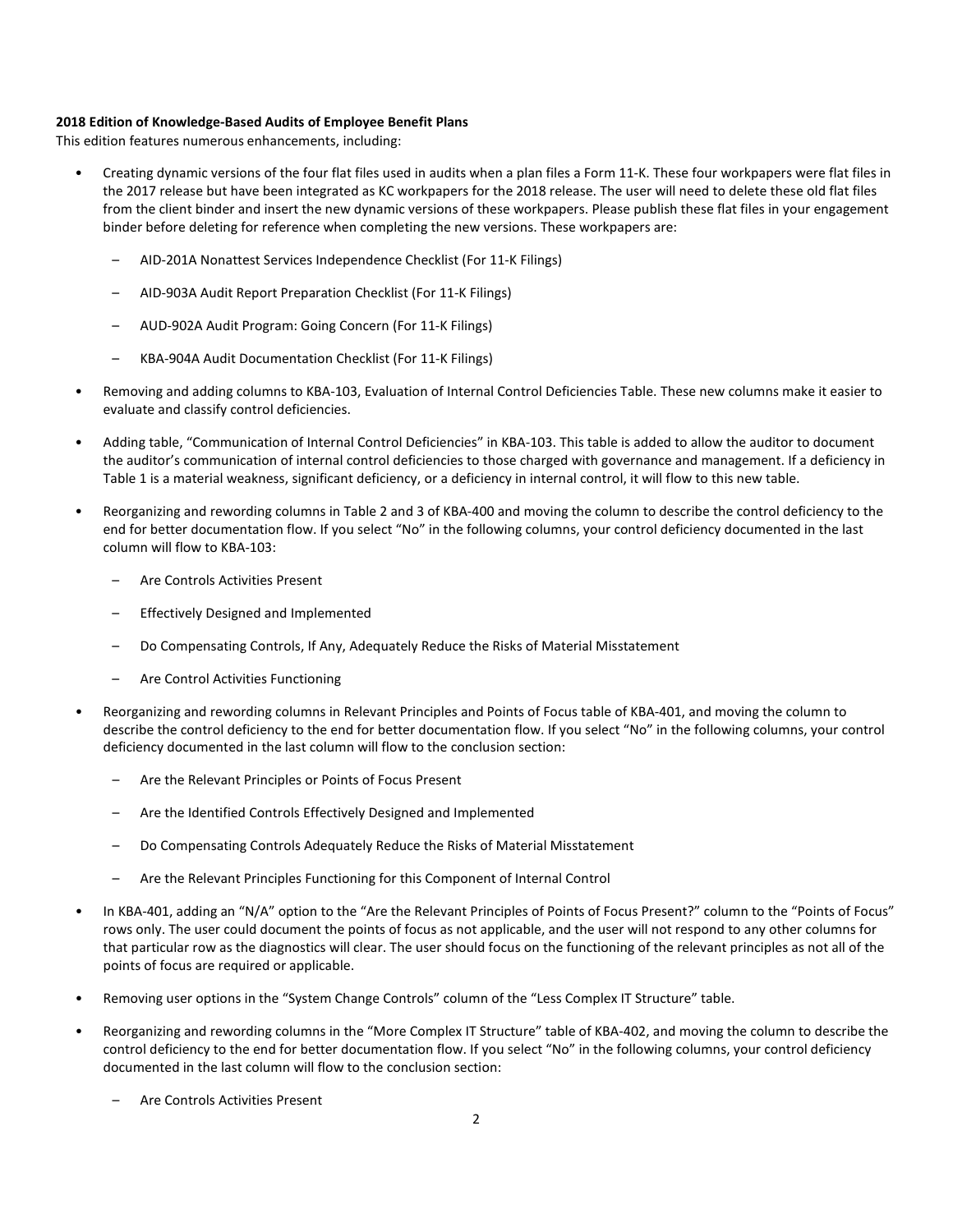#### **2018 Edition of Knowledge-Based Audits of Employee Benefit Plans**

This edition features numerous enhancements, including:

- Creating dynamic versions of the four flat files used in audits when a plan files a Form 11-K. These four workpapers were flat files in the 2017 release but have been integrated as KC workpapers for the 2018 release. The user will need to delete these old flat files from the client binder and insert the new dynamic versions of these workpapers. Please publish these flat files in your engagement binder before deleting for reference when completing the new versions. These workpapers are:
	- AID-201A Nonattest Services Independence Checklist (For 11-K Filings)
	- AID-903A Audit Report Preparation Checklist (For 11-K Filings)
	- AUD-902A Audit Program: Going Concern (For 11-K Filings)
	- KBA-904A Audit Documentation Checklist (For 11-K Filings)
- Removing and adding columns to KBA-103, Evaluation of Internal Control Deficiencies Table. These new columns make it easier to evaluate and classify control deficiencies.
- Adding table, "Communication of Internal Control Deficiencies" in KBA-103. This table is added to allow the auditor to document the auditor's communication of internal control deficiencies to those charged with governance and management. If a deficiency in Table 1 is a material weakness, significant deficiency, or a deficiency in internal control, it will flow to this new table.
- Reorganizing and rewording columns in Table 2 and 3 of KBA-400 and moving the column to describe the control deficiency to the end for better documentation flow. If you select "No" in the following columns, your control deficiency documented in the last column will flow to KBA-103:
	- Are Controls Activities Present
	- Effectively Designed and Implemented
	- Do Compensating Controls, If Any, Adequately Reduce the Risks of Material Misstatement
	- Are Control Activities Functioning
- Reorganizing and rewording columns in Relevant Principles and Points of Focus table of KBA-401, and moving the column to describe the control deficiency to the end for better documentation flow. If you select "No" in the following columns, your control deficiency documented in the last column will flow to the conclusion section:
	- Are the Relevant Principles or Points of Focus Present
	- Are the Identified Controls Effectively Designed and Implemented
	- Do Compensating Controls Adequately Reduce the Risks of Material Misstatement
	- Are the Relevant Principles Functioning for this Component of Internal Control
- In KBA-401, adding an "N/A" option to the "Are the Relevant Principles of Points of Focus Present?" column to the "Points of Focus" rows only. The user could document the points of focus as not applicable, and the user will not respond to any other columns for that particular row as the diagnostics will clear. The user should focus on the functioning of the relevant principles as not all of the points of focus are required or applicable.
- Removing user options in the "System Change Controls" column of the "Less Complex IT Structure" table.
- Reorganizing and rewording columns in the "More Complex IT Structure" table of KBA-402, and moving the column to describe the control deficiency to the end for better documentation flow. If you select "No" in the following columns, your control deficiency documented in the last column will flow to the conclusion section:
	- Are Controls Activities Present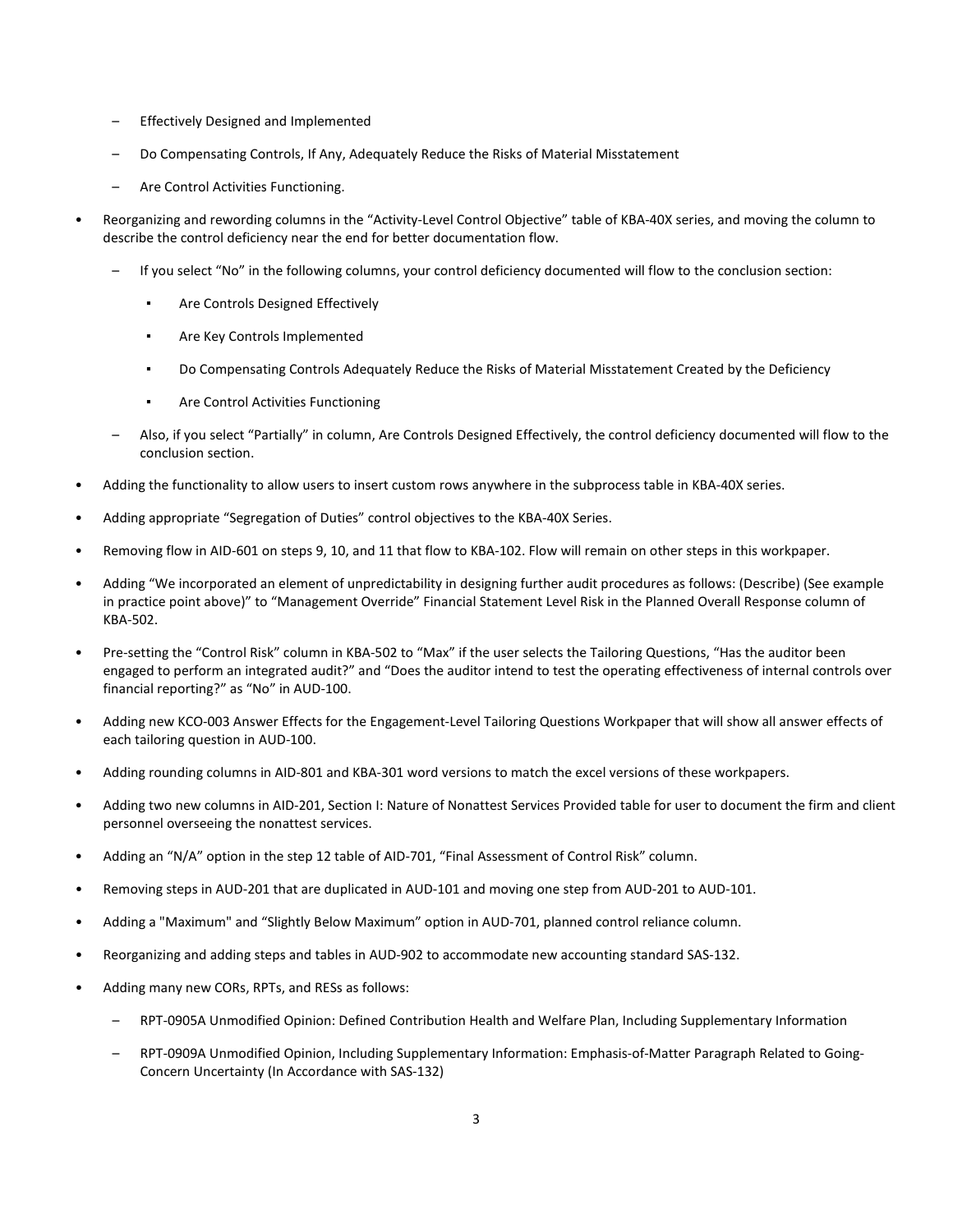- Effectively Designed and Implemented
- Do Compensating Controls, If Any, Adequately Reduce the Risks of Material Misstatement
- Are Control Activities Functioning.
- Reorganizing and rewording columns in the "Activity-Level Control Objective" table of KBA-40X series, and moving the column to describe the control deficiency near the end for better documentation flow.
	- If you select "No" in the following columns, your control deficiency documented will flow to the conclusion section:
		- Are Controls Designed Effectively
		- Are Key Controls Implemented
		- Do Compensating Controls Adequately Reduce the Risks of Material Misstatement Created by the Deficiency
		- Are Control Activities Functioning
	- Also, if you select "Partially" in column, Are Controls Designed Effectively, the control deficiency documented will flow to the conclusion section.
- Adding the functionality to allow users to insert custom rows anywhere in the subprocess table in KBA-40X series.
- Adding appropriate "Segregation of Duties" control objectives to the KBA-40X Series.
- Removing flow in AID-601 on steps 9, 10, and 11 that flow to KBA-102. Flow will remain on other steps in this workpaper.
- Adding "We incorporated an element of unpredictability in designing further audit procedures as follows: (Describe) (See example in practice point above)" to "Management Override" Financial Statement Level Risk in the Planned Overall Response column of KBA-502.
- Pre-setting the "Control Risk" column in KBA-502 to "Max" if the user selects the Tailoring Questions, "Has the auditor been engaged to perform an integrated audit?" and "Does the auditor intend to test the operating effectiveness of internal controls over financial reporting?" as "No" in AUD-100.
- Adding new KCO-003 Answer Effects for the Engagement-Level Tailoring Questions Workpaper that will show all answer effects of each tailoring question in AUD-100.
- Adding rounding columns in AID-801 and KBA-301 word versions to match the excel versions of these workpapers.
- Adding two new columns in AID-201, Section I: Nature of Nonattest Services Provided table for user to document the firm and client personnel overseeing the nonattest services.
- Adding an "N/A" option in the step 12 table of AID-701, "Final Assessment of Control Risk" column.
- Removing steps in AUD-201 that are duplicated in AUD-101 and moving one step from AUD-201 to AUD-101.
- Adding a "Maximum" and "Slightly Below Maximum" option in AUD-701, planned control reliance column.
- Reorganizing and adding steps and tables in AUD-902 to accommodate new accounting standard SAS-132.
- Adding many new CORs, RPTs, and RESs as follows:
	- RPT-0905A Unmodified Opinion: Defined Contribution Health and Welfare Plan, Including Supplementary Information
	- RPT-0909A Unmodified Opinion, Including Supplementary Information: Emphasis-of-Matter Paragraph Related to Going-Concern Uncertainty (In Accordance with SAS-132)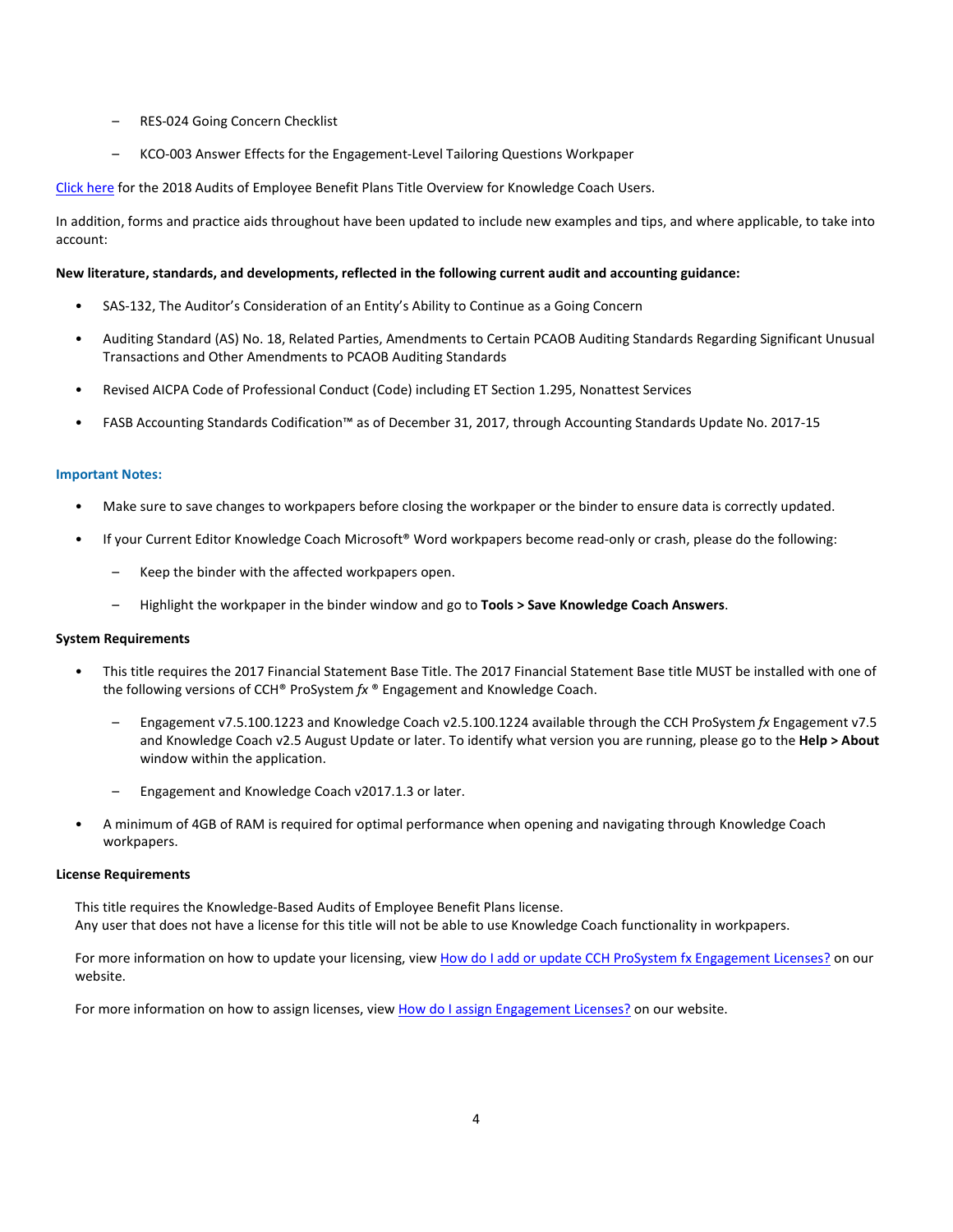- RES-024 Going Concern Checklist
- KCO-003 Answer Effects for the Engagement-Level Tailoring Questions Workpaper

[Click here](http://support.cch.com/updates/KnowledgeCoach/pdf/guides_tab/2018%20Employee%20Benefit%20Plans%20Title%20Overview%20for%20Knowledge%20Coach%20Users.pdf) for the 2018 Audits of Employee Benefit Plans Title Overview for Knowledge Coach Users.

In addition, forms and practice aids throughout have been updated to include new examples and tips, and where applicable, to take into account:

#### **New literature, standards, and developments, reflected in the following current audit and accounting guidance:**

- SAS-132, The Auditor's Consideration of an Entity's Ability to Continue as a Going Concern
- Auditing Standard (AS) No. 18, Related Parties, Amendments to Certain PCAOB Auditing Standards Regarding Significant Unusual Transactions and Other Amendments to PCAOB Auditing Standards
- Revised AICPA Code of Professional Conduct (Code) including ET Section 1.295, Nonattest Services
- FASB Accounting Standards Codification™ as of December 31, 2017, through Accounting Standards Update No. 2017-15

#### **Important Notes:**

- Make sure to save changes to workpapers before closing the workpaper or the binder to ensure data is correctly updated.
- If your Current Editor Knowledge Coach Microsoft® Word workpapers become read-only or crash, please do the following:
	- Keep the binder with the affected workpapers open.
	- Highlight the workpaper in the binder window and go to **Tools > Save Knowledge Coach Answers**.

#### **System Requirements**

- This title requires the 2017 Financial Statement Base Title. The 2017 Financial Statement Base title MUST be installed with one of the following versions of CCH® ProSystem *fx* ® Engagement and Knowledge Coach.
	- Engagement v7.5.100.1223 and Knowledge Coach v2.5.100.1224 available through the CCH ProSystem *fx* Engagement v7.5 and Knowledge Coach v2.5 August Update or later. To identify what version you are running, please go to the **Help > About** window within the application.
	- Engagement and Knowledge Coach v2017.1.3 or later.
- A minimum of 4GB of RAM is required for optimal performance when opening and navigating through Knowledge Coach workpapers.

#### **License Requirements**

This title requires the Knowledge-Based Audits of Employee Benefit Plans license. Any user that does not have a license for this title will not be able to use Knowledge Coach functionality in workpapers.

For more information on how to update your licensing, view [How do I add or update CCH ProSystem fx Engagement Licenses?](https://support.cch.com/kb/solution.aspx/sw3937) on our website.

For more information on how to assign licenses, view [How do I assign Engagement Licenses?](https://support.cch.com/kb/solution.aspx/sw3943) on our website.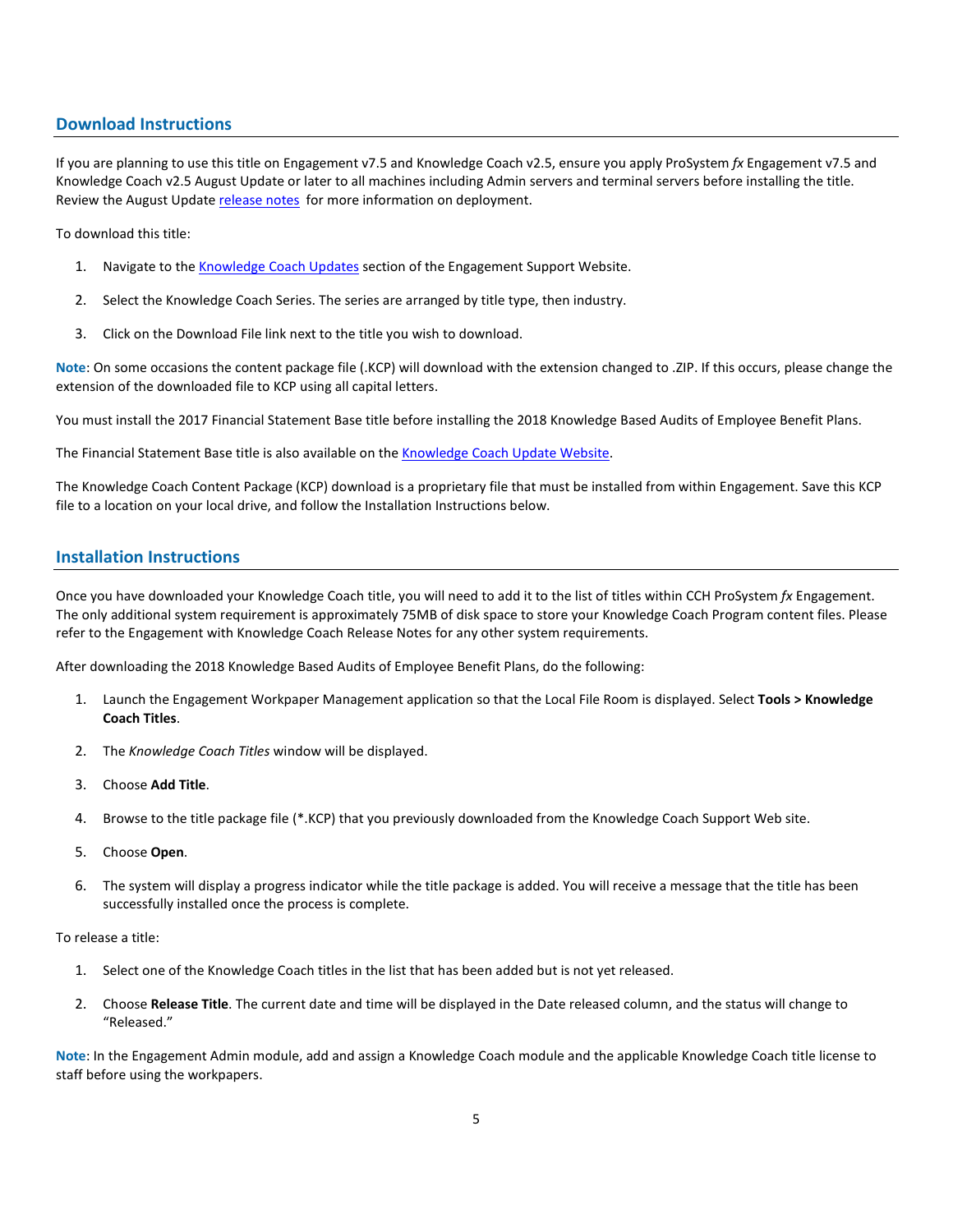# **Download Instructions**

If you are planning to use this title on Engagement v7.5 and Knowledge Coach v2.5, ensure you apply ProSystem *fx* Engagement v7.5 and Knowledge Coach v2.5 August Update or later to all machines including Admin servers and terminal servers before installing the title. Review the August Updat[e release notes](https://support.cch.com/updates/Engagement/patch75/Engagement%20and%20KC%20July%202017%20Update%20Release%20Notes.pdf) for more information on deployment.

To download this title:

- 1. Navigate to the [Knowledge Coach Updates](http://support.cch.com/updates/KnowledgeCoach) section of the Engagement Support Website.
- 2. Select the Knowledge Coach Series. The series are arranged by title type, then industry.
- 3. Click on the Download File link next to the title you wish to download.

**Note**: On some occasions the content package file (.KCP) will download with the extension changed to .ZIP. If this occurs, please change the extension of the downloaded file to KCP using all capital letters.

You must install the 2017 Financial Statement Base title before installing the 2018 Knowledge Based Audits of Employee Benefit Plans.

The Financial Statement Base title is also available on th[e Knowledge Coach Update Website.](http://support.cch.com/updates/KnowledgeCoach)

The Knowledge Coach Content Package (KCP) download is a proprietary file that must be installed from within Engagement. Save this KCP file to a location on your local drive, and follow the Installation Instructions below.

# **Installation Instructions**

Once you have downloaded your Knowledge Coach title, you will need to add it to the list of titles within CCH ProSystem *fx* Engagement. The only additional system requirement is approximately 75MB of disk space to store your Knowledge Coach Program content files. Please refer to the Engagement with Knowledge Coach Release Notes for any other system requirements.

After downloading the 2018 Knowledge Based Audits of Employee Benefit Plans, do the following:

- 1. Launch the Engagement Workpaper Management application so that the Local File Room is displayed. Select **Tools > Knowledge Coach Titles**.
- 2. The *Knowledge Coach Titles* window will be displayed.
- 3. Choose **Add Title**.
- 4. Browse to the title package file (\*.KCP) that you previously downloaded from the Knowledge Coach Support Web site.
- 5. Choose **Open**.
- 6. The system will display a progress indicator while the title package is added. You will receive a message that the title has been successfully installed once the process is complete.

#### To release a title:

- 1. Select one of the Knowledge Coach titles in the list that has been added but is not yet released.
- 2. Choose **Release Title**. The current date and time will be displayed in the Date released column, and the status will change to "Released."

**Note**: In the Engagement Admin module, add and assign a Knowledge Coach module and the applicable Knowledge Coach title license to staff before using the workpapers.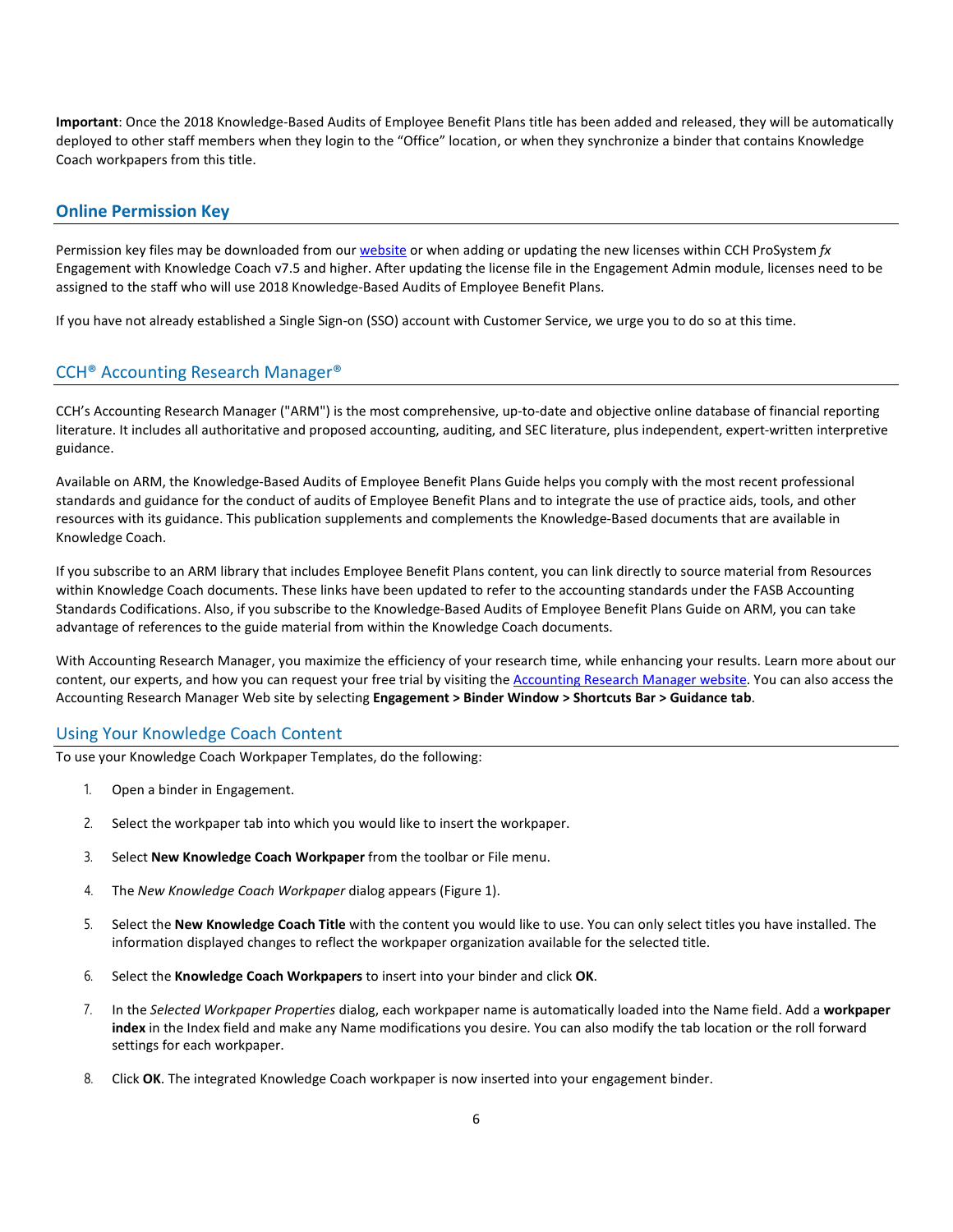**Important**: Once the 2018 Knowledge-Based Audits of Employee Benefit Plans title has been added and released, they will be automatically deployed to other staff members when they login to the "Office" location, or when they synchronize a binder that contains Knowledge Coach workpapers from this title.

#### **Online Permission Key**

Permission key files may be downloaded from ou[r website](https://prosystemfxsupport.tax.cchgroup.com/permkey/download.aspx) or when adding or updating the new licenses within CCH ProSystem *fx* Engagement with Knowledge Coach v7.5 and higher. After updating the license file in the Engagement Admin module, licenses need to be assigned to the staff who will use 2018 Knowledge-Based Audits of Employee Benefit Plans.

If you have not already established a Single Sign-on (SSO) account with Customer Service, we urge you to do so at this time.

# CCH® Accounting Research Manager®

CCH's Accounting Research Manager ("ARM") is the most comprehensive, up-to-date and objective online database of financial reporting literature. It includes all authoritative and proposed accounting, auditing, and SEC literature, plus independent, expert-written interpretive guidance.

Available on ARM, the Knowledge-Based Audits of Employee Benefit Plans Guide helps you comply with the most recent professional standards and guidance for the conduct of audits of Employee Benefit Plans and to integrate the use of practice aids, tools, and other resources with its guidance. This publication supplements and complements the Knowledge-Based documents that are available in Knowledge Coach.

If you subscribe to an ARM library that includes Employee Benefit Plans content, you can link directly to source material from Resources within Knowledge Coach documents. These links have been updated to refer to the accounting standards under the FASB Accounting Standards Codifications. Also, if you subscribe to the Knowledge-Based Audits of Employee Benefit Plans Guide on ARM, you can take advantage of references to the guide material from within the Knowledge Coach documents.

With Accounting Research Manager, you maximize the efficiency of your research time, while enhancing your results. Learn more about our content, our experts, and how you can request your free trial by visiting the [Accounting Research Manager website.](http://www.accountingresearchmanager.com/) You can also access the Accounting Research Manager Web site by selecting **Engagement > Binder Window > Shortcuts Bar > Guidance tab**.

## Using Your Knowledge Coach Content

To use your Knowledge Coach Workpaper Templates, do the following:

- 1. Open a binder in Engagement.
- 2. Select the workpaper tab into which you would like to insert the workpaper.
- 3. Select **New Knowledge Coach Workpaper** from the toolbar or File menu.
- 4. The *New Knowledge Coach Workpaper* dialog appears (Figure 1).
- 5. Select the **New Knowledge Coach Title** with the content you would like to use. You can only select titles you have installed. The information displayed changes to reflect the workpaper organization available for the selected title.
- 6. Select the **Knowledge Coach Workpapers** to insert into your binder and click **OK**.
- 7. In the *Selected Workpaper Properties* dialog, each workpaper name is automatically loaded into the Name field. Add a **workpaper index** in the Index field and make any Name modifications you desire. You can also modify the tab location or the roll forward settings for each workpaper.
- 8. Click **OK**. The integrated Knowledge Coach workpaper is now inserted into your engagement binder.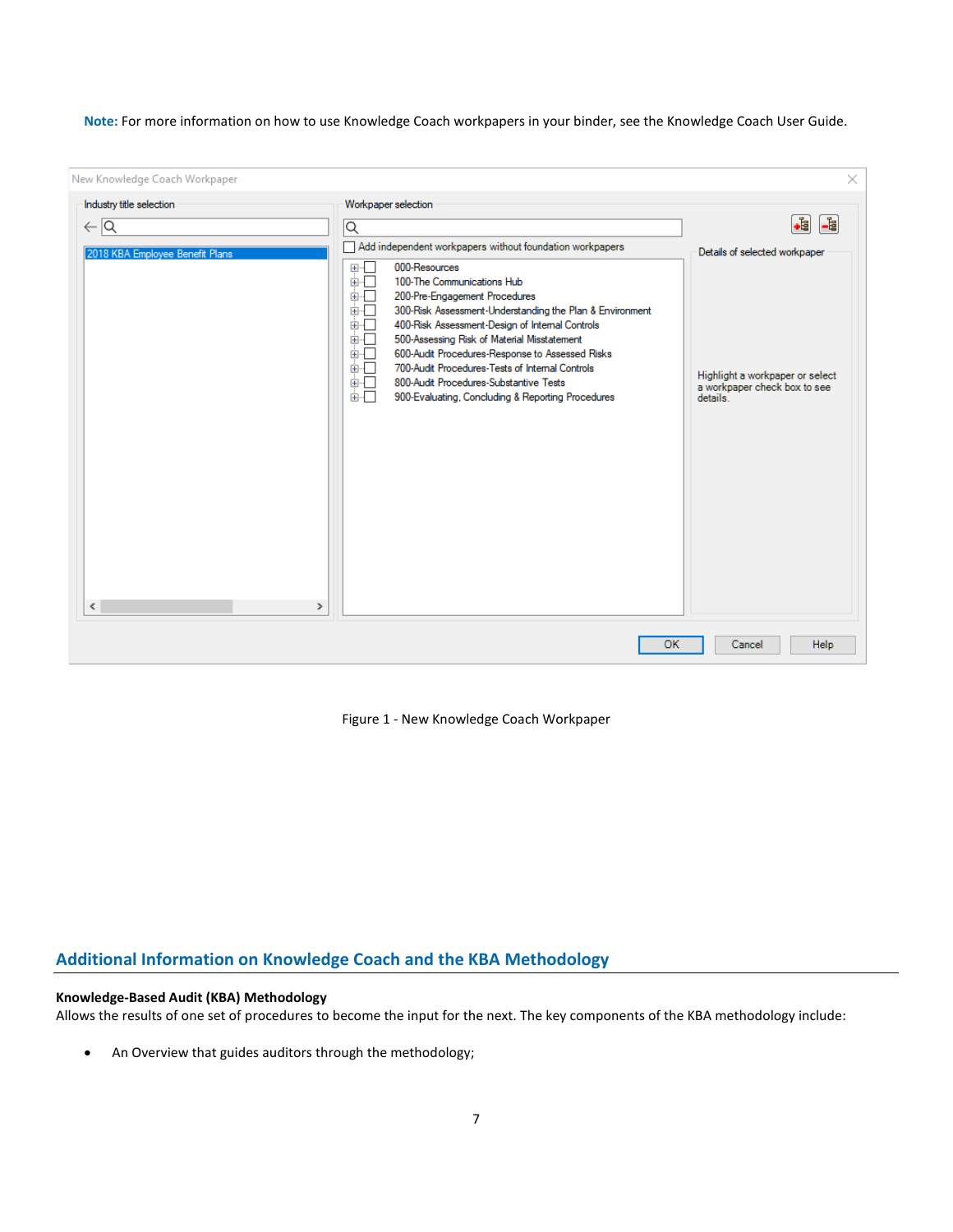**Note:** For more information on how to use Knowledge Coach workpapers in your binder, see the Knowledge Coach User Guide.

| New Knowledge Coach Workpaper                                                                  |                                                                                                                                                                                                                                                                                                                                                                                                                                                | $\times$                                                                                |
|------------------------------------------------------------------------------------------------|------------------------------------------------------------------------------------------------------------------------------------------------------------------------------------------------------------------------------------------------------------------------------------------------------------------------------------------------------------------------------------------------------------------------------------------------|-----------------------------------------------------------------------------------------|
| Industry title selection<br>$\leftarrow \boxed{\mathsf{Q}}$<br>2018 KBA Employee Benefit Plans | Workpaper selection<br>Q<br>Add independent workpapers without foundation workpapers<br>000-Resources<br>$\boxplus \cdots$<br>100-The Communications Hub<br>画画<br>画面<br>200-Pre-Engagement Procedures<br>面一<br>300-Risk Assessment-Understanding the Plan & Environment<br>画画<br>400-Risk Assessment-Design of Internal Controls<br>面示<br>500-Assessing Risk of Material Misstatement<br>面一<br>600-Audit Procedures-Response to Assessed Risks | -€<br>L.<br>Details of selected workpaper                                               |
| $\leq$<br>$\,>\,$                                                                              | 画画<br>700-Audit Procedures-Tests of Internal Controls<br>800-Audit Procedures-Substantive Tests<br>面一<br>面一<br>900-Evaluating, Concluding & Reporting Procedures                                                                                                                                                                                                                                                                               | Highlight a workpaper or select<br>a workpaper check box to see<br>details <sup>1</sup> |
|                                                                                                | OK                                                                                                                                                                                                                                                                                                                                                                                                                                             | Help<br>Cancel                                                                          |

Figure 1 - New Knowledge Coach Workpaper

# **Additional Information on Knowledge Coach and the KBA Methodology**

## **Knowledge-Based Audit (KBA) Methodology**

Allows the results of one set of procedures to become the input for the next. The key components of the KBA methodology include:

• An Overview that guides auditors through the methodology;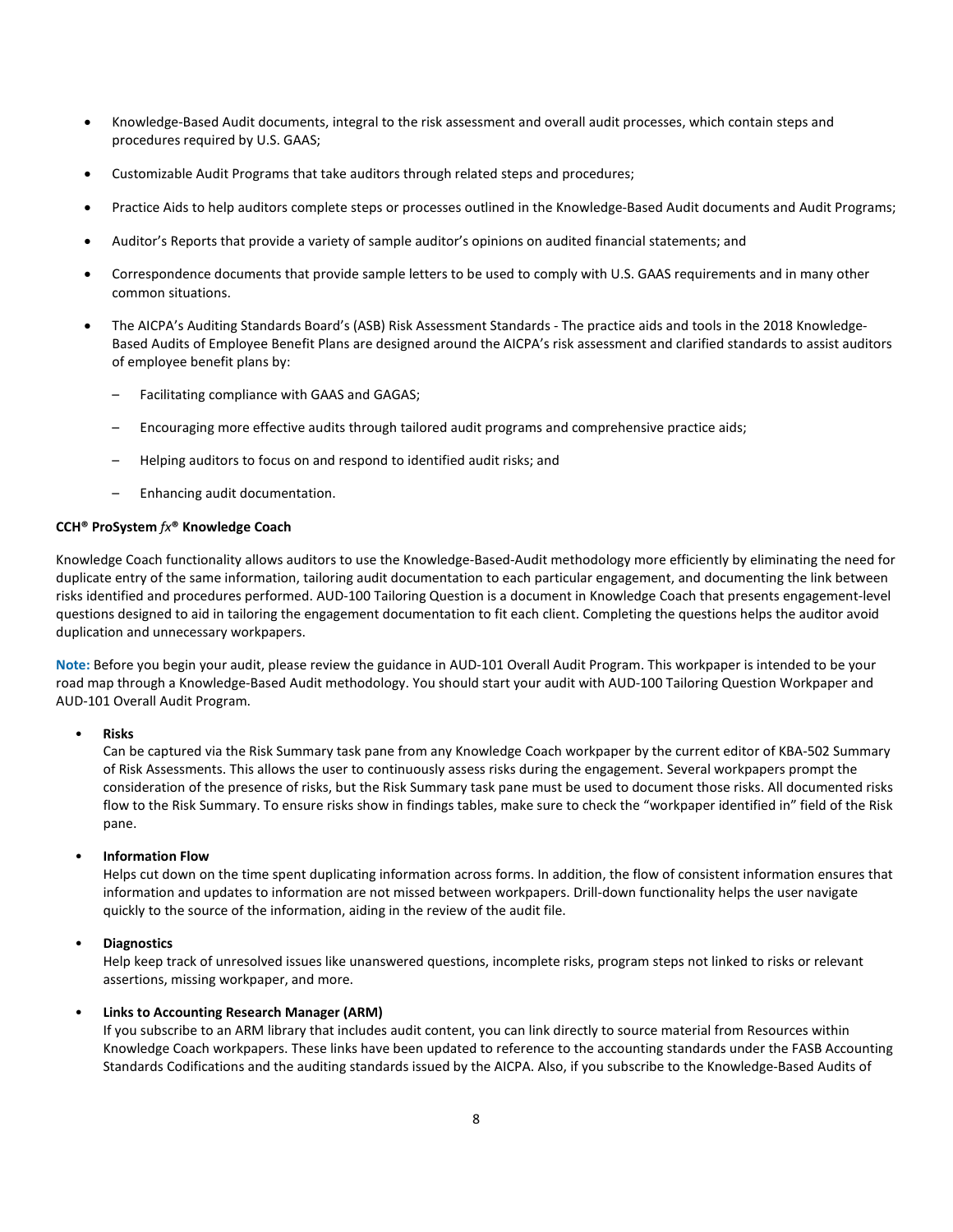- Knowledge-Based Audit documents, integral to the risk assessment and overall audit processes, which contain steps and procedures required by U.S. GAAS;
- Customizable Audit Programs that take auditors through related steps and procedures;
- Practice Aids to help auditors complete steps or processes outlined in the Knowledge-Based Audit documents and Audit Programs;
- Auditor's Reports that provide a variety of sample auditor's opinions on audited financial statements; and
- Correspondence documents that provide sample letters to be used to comply with U.S. GAAS requirements and in many other common situations.
- The AICPA's Auditing Standards Board's (ASB) Risk Assessment Standards The practice aids and tools in the 2018 Knowledge-Based Audits of Employee Benefit Plans are designed around the AICPA's risk assessment and clarified standards to assist auditors of employee benefit plans by:
	- Facilitating compliance with GAAS and GAGAS;
	- Encouraging more effective audits through tailored audit programs and comprehensive practice aids;
	- Helping auditors to focus on and respond to identified audit risks; and
	- Enhancing audit documentation.

#### **CCH® ProSystem** *fx***® Knowledge Coach**

Knowledge Coach functionality allows auditors to use the Knowledge-Based-Audit methodology more efficiently by eliminating the need for duplicate entry of the same information, tailoring audit documentation to each particular engagement, and documenting the link between risks identified and procedures performed. AUD-100 Tailoring Question is a document in Knowledge Coach that presents engagement-level questions designed to aid in tailoring the engagement documentation to fit each client. Completing the questions helps the auditor avoid duplication and unnecessary workpapers.

**Note:** Before you begin your audit, please review the guidance in AUD-101 Overall Audit Program. This workpaper is intended to be your road map through a Knowledge-Based Audit methodology. You should start your audit with AUD-100 Tailoring Question Workpaper and AUD-101 Overall Audit Program.

#### • **Risks**

Can be captured via the Risk Summary task pane from any Knowledge Coach workpaper by the current editor of KBA-502 Summary of Risk Assessments. This allows the user to continuously assess risks during the engagement. Several workpapers prompt the consideration of the presence of risks, but the Risk Summary task pane must be used to document those risks. All documented risks flow to the Risk Summary. To ensure risks show in findings tables, make sure to check the "workpaper identified in" field of the Risk pane.

## • **Information Flow**

Helps cut down on the time spent duplicating information across forms. In addition, the flow of consistent information ensures that information and updates to information are not missed between workpapers. Drill-down functionality helps the user navigate quickly to the source of the information, aiding in the review of the audit file.

## • **Diagnostics**

Help keep track of unresolved issues like unanswered questions, incomplete risks, program steps not linked to risks or relevant assertions, missing workpaper, and more.

## • **Links to Accounting Research Manager (ARM)**

If you subscribe to an ARM library that includes audit content, you can link directly to source material from Resources within Knowledge Coach workpapers. These links have been updated to reference to the accounting standards under the FASB Accounting Standards Codifications and the auditing standards issued by the AICPA. Also, if you subscribe to the Knowledge-Based Audits of